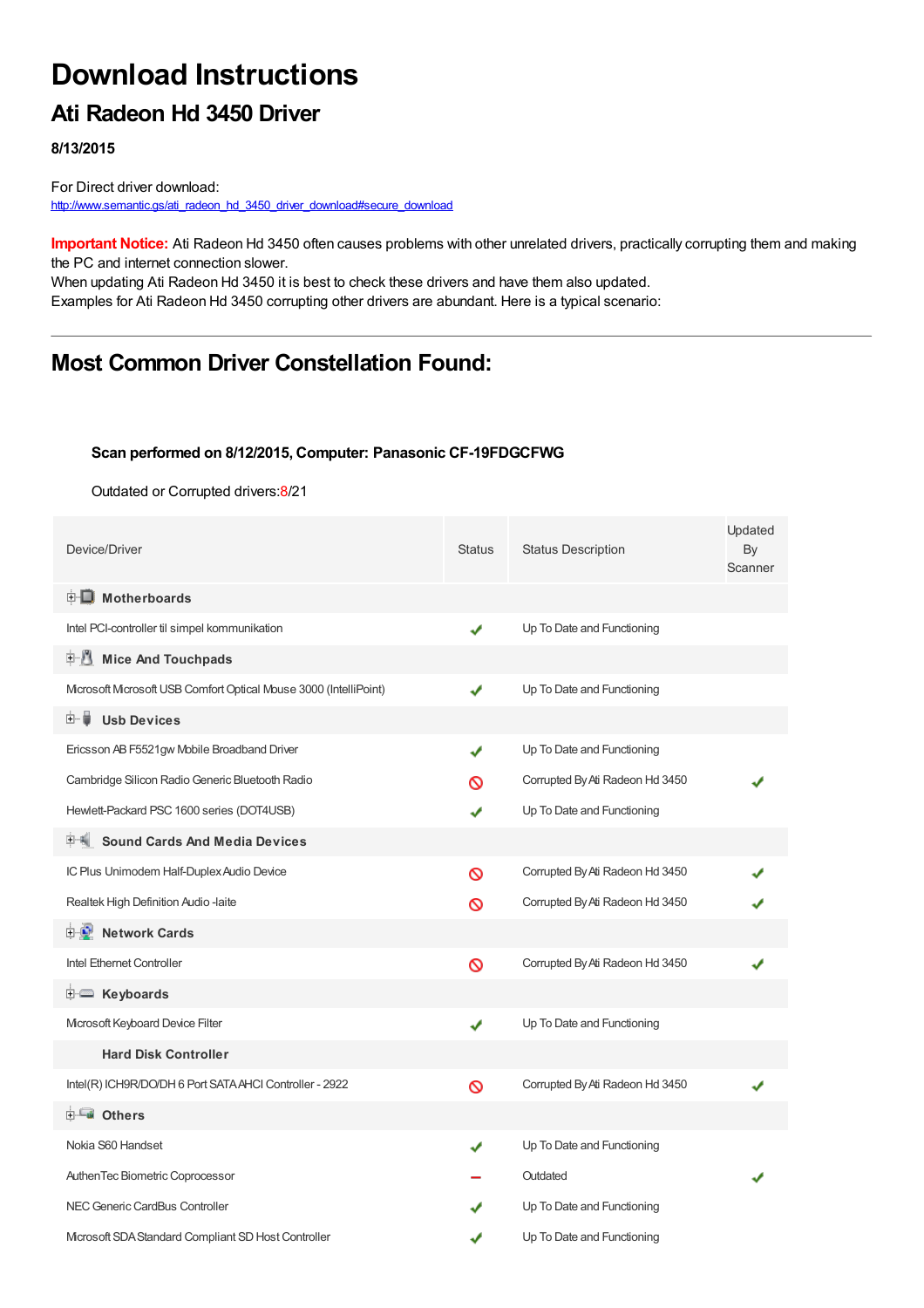# **Download Instructions**

## **Ati Radeon Hd 3450 Driver**

**8/13/2015**

For Direct driver download: [http://www.semantic.gs/ati\\_radeon\\_hd\\_3450\\_driver\\_download#secure\\_download](http://www.semantic.gs/ati_radeon_hd_3450_driver_download#secure_download)

**Important Notice:** Ati Radeon Hd 3450 often causes problems with other unrelated drivers, practically corrupting them and making the PC and internet connection slower.

When updating Ati Radeon Hd 3450 it is best to check these drivers and have them also updated. Examples for Ati Radeon Hd 3450 corrupting other drivers are abundant. Here is a typical scenario:

## **Most Common Driver Constellation Found:**

#### **Scan performed on 8/12/2015, Computer: Panasonic CF-19FDGCFWG**

Outdated or Corrupted drivers:8/21

| Device/Driver                                                   | <b>Status</b> | <b>Status Description</b>       | Updated<br>By<br>Scanner |
|-----------------------------------------------------------------|---------------|---------------------------------|--------------------------|
| <b>E</b> Motherboards                                           |               |                                 |                          |
| Intel PCI-controller til simpel kommunikation                   | ✔             | Up To Date and Functioning      |                          |
| <b>Mice And Touchpads</b><br>甲基                                 |               |                                 |                          |
| Mcrosoft Mcrosoft USB Comfort Optical Mouse 3000 (IntelliPoint) | ✔             | Up To Date and Functioning      |                          |
| <b>Usb Devices</b><br>田… 首                                      |               |                                 |                          |
| Ericsson AB F5521gw Mobile Broadband Driver                     | ✔             | Up To Date and Functioning      |                          |
| Cambridge Silicon Radio Generic Bluetooth Radio                 | လ             | Corrupted By Ati Radeon Hd 3450 |                          |
| Hewlett-Packard PSC 1600 series (DOT4USB)                       |               | Up To Date and Functioning      |                          |
| <b>Sound Cards And Media Devices</b>                            |               |                                 |                          |
| IC Plus Unimodem Half-Duplex Audio Device                       | ଷ             | Corrupted By Ati Radeon Hd 3450 |                          |
| Realtek High Definition Audio -laite                            | ଷ             | Corrupted By Ati Radeon Hd 3450 |                          |
| <b>Network Cards</b><br>e-le                                    |               |                                 |                          |
| Intel Ethernet Controller                                       | Ø             | Corrupted By Ati Radeon Hd 3450 |                          |
| <b>E</b> Keyboards                                              |               |                                 |                          |
| Microsoft Keyboard Device Filter                                | ✔             | Up To Date and Functioning      |                          |
| <b>Hard Disk Controller</b>                                     |               |                                 |                          |
| Intel(R) ICH9R/DO/DH 6 Port SATA AHCI Controller - 2922         | $\infty$      | Corrupted By Ati Radeon Hd 3450 |                          |
| <b>E</b> Others                                                 |               |                                 |                          |
| Nokia S60 Handset                                               | ✔             | Up To Date and Functioning      |                          |
| AuthenTec Biometric Coprocessor                                 |               | Outdated                        |                          |
| NEC Generic CardBus Controller                                  |               | Up To Date and Functioning      |                          |
| Microsoft SDA Standard Compliant SD Host Controller             |               | Up To Date and Functioning      |                          |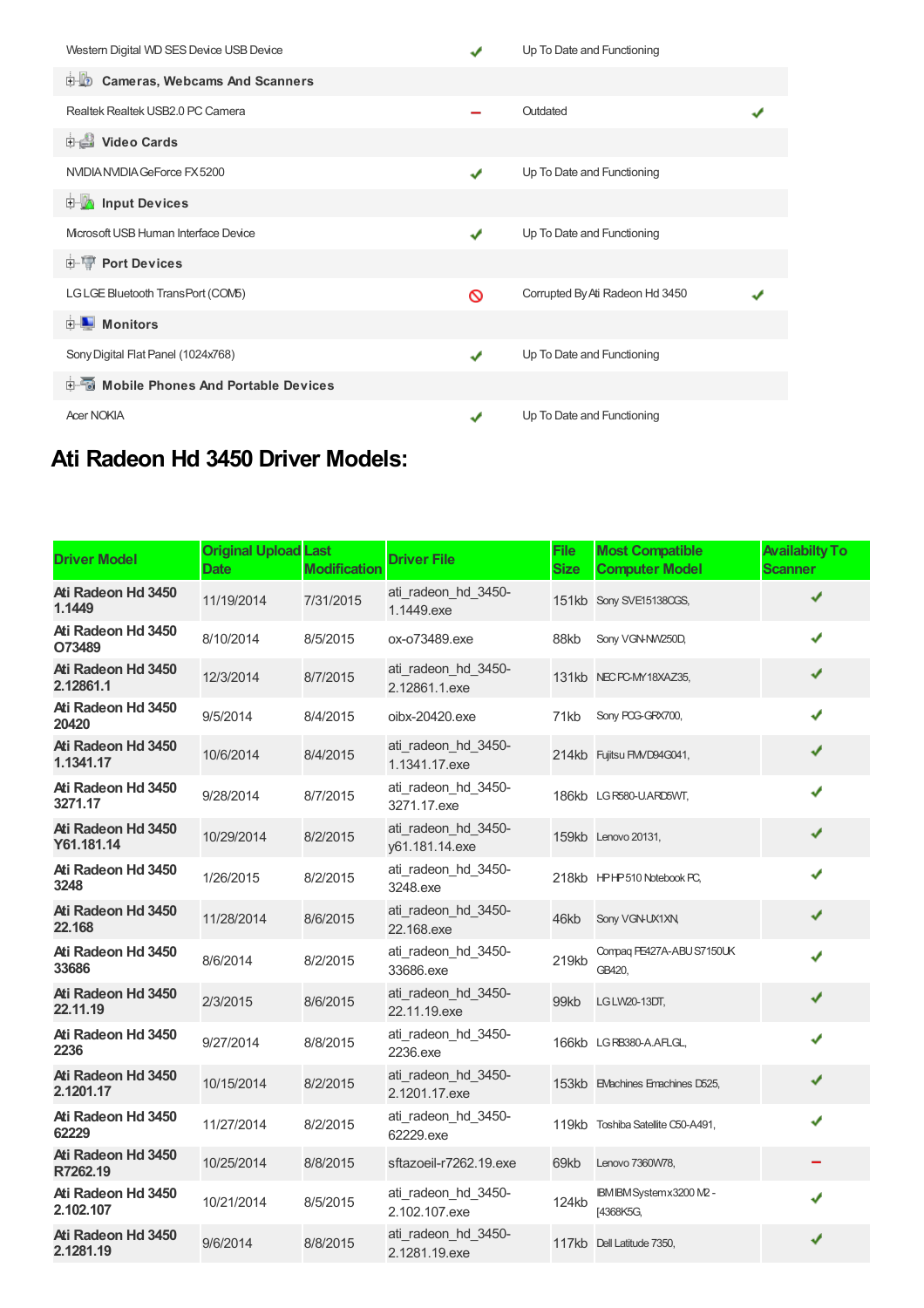| Western Digital WD SES Device USB Device      | J | Up To Date and Functioning      |  |
|-----------------------------------------------|---|---------------------------------|--|
| the Cameras, Webcams And Scanners             |   |                                 |  |
| Realtek Realtek USB2.0 PC Camera              |   | Outdated                        |  |
| <b>Dideo Cards</b>                            |   |                                 |  |
| NVIDIA NVIDIA GeForce FX 5200                 | ✔ | Up To Date and Functioning      |  |
| <b>E</b> Input Devices                        |   |                                 |  |
| Mcrosoft USB Human Interface Device           | ✔ | Up To Date and Functioning      |  |
| <b>E-1 Port Devices</b>                       |   |                                 |  |
| LGLGE Bluetooth TransPort (COM5)              | ᠗ | Corrupted By Ati Radeon Hd 3450 |  |
| $\blacksquare$ Monitors<br>中-                 |   |                                 |  |
| Sony Digital Flat Panel (1024x768)            |   | Up To Date and Functioning      |  |
| <b>E-5</b> Mobile Phones And Portable Devices |   |                                 |  |
| <b>Acer NOKIA</b>                             |   | Up To Date and Functioning      |  |

## **Ati Radeon Hd 3450 Driver Models:**

| <b>Driver Model</b>              | <b>Original Upload Last</b><br><b>Date</b> | <b>Modification</b> | <b>Driver File</b>                    | <b>File</b><br><b>Size</b> | <b>Most Compatible</b><br><b>Computer Model</b> | <b>Availabilty To</b><br><b>Scanner</b> |
|----------------------------------|--------------------------------------------|---------------------|---------------------------------------|----------------------------|-------------------------------------------------|-----------------------------------------|
| Ati Radeon Hd 3450<br>1.1449     | 11/19/2014                                 | 7/31/2015           | ati radeon hd 3450-<br>1.1449.exe     |                            | 151kb Sony SVE15138CGS,                         | ✔                                       |
| Ati Radeon Hd 3450<br>O73489     | 8/10/2014                                  | 8/5/2015            | ox-o73489.exe                         | 88kb                       | Sony VGN-NW250D,                                | ✔                                       |
| Ati Radeon Hd 3450<br>2.12861.1  | 12/3/2014                                  | 8/7/2015            | ati radeon hd 3450-<br>2.12861.1.exe  |                            | 131kb NEC PC-MY18XAZ35,                         | ✔                                       |
| Ati Radeon Hd 3450<br>20420      | 9/5/2014                                   | 8/4/2015            | oibx-20420.exe                        | 71kb                       | Sony PCG-GRX700,                                | ✔                                       |
| Ati Radeon Hd 3450<br>1.1341.17  | 10/6/2014                                  | 8/4/2015            | ati radeon hd 3450-<br>1.1341.17.exe  |                            | 214kb Fujitsu FM/D94G041,                       | ✔                                       |
| Ati Radeon Hd 3450<br>3271.17    | 9/28/2014                                  | 8/7/2015            | ati radeon hd 3450-<br>3271.17.exe    |                            | 186kb LG R580-U.ARD5WT,                         | ✔                                       |
| Ati Radeon Hd 3450<br>Y61.181.14 | 10/29/2014                                 | 8/2/2015            | ati radeon hd 3450-<br>y61.181.14.exe |                            | 159kb Lenovo 20131,                             | ✔                                       |
| Ati Radeon Hd 3450<br>3248       | 1/26/2015                                  | 8/2/2015            | ati_radeon_hd_3450-<br>3248.exe       |                            | 218kb HPHP510 Notebook PC,                      | ✔                                       |
| Ati Radeon Hd 3450<br>22.168     | 11/28/2014                                 | 8/6/2015            | ati radeon hd 3450-<br>22.168.exe     | 46kb                       | Sony VGN-UX1XN,                                 | ✔                                       |
| Ati Radeon Hd 3450<br>33686      | 8/6/2014                                   | 8/2/2015            | ati radeon hd 3450-<br>33686.exe      | 219kb                      | Compaq PE427A-ABU S7150UK<br>GB420,             | ✔                                       |
| Ati Radeon Hd 3450<br>22.11.19   | 2/3/2015                                   | 8/6/2015            | ati radeon hd 3450-<br>22.11.19.exe   | 99kb                       | LG LW20-13DT,                                   | ✔                                       |
| Ati Radeon Hd 3450<br>2236       | 9/27/2014                                  | 8/8/2015            | ati_radeon_hd_3450-<br>2236.exe       |                            | 166kb LGRB380-A.AFLGL,                          | ✔                                       |
| Ati Radeon Hd 3450<br>2.1201.17  | 10/15/2014                                 | 8/2/2015            | ati radeon hd 3450-<br>2.1201.17.exe  |                            | 153kb EMachines Emachines D525,                 | ✔                                       |
| Ati Radeon Hd 3450<br>62229      | 11/27/2014                                 | 8/2/2015            | ati radeon hd 3450-<br>62229.exe      |                            | 119kb Toshiba Satellite C50-A491,               | ✔                                       |
| Ati Radeon Hd 3450<br>R7262.19   | 10/25/2014                                 | 8/8/2015            | sftazoeil-r7262.19.exe                | 69kb                       | Lenovo 7360W78,                                 |                                         |
| Ati Radeon Hd 3450<br>2.102.107  | 10/21/2014                                 | 8/5/2015            | ati_radeon_hd_3450-<br>2.102.107.exe  | 124kb                      | IBM IBM System x3200 M2 -<br>[4368K5G,          | ✔                                       |
| Ati Radeon Hd 3450<br>2.1281.19  | 9/6/2014                                   | 8/8/2015            | ati radeon hd 3450-<br>2.1281.19.exe  |                            | 117kb Dell Latitude 7350,                       | ✔                                       |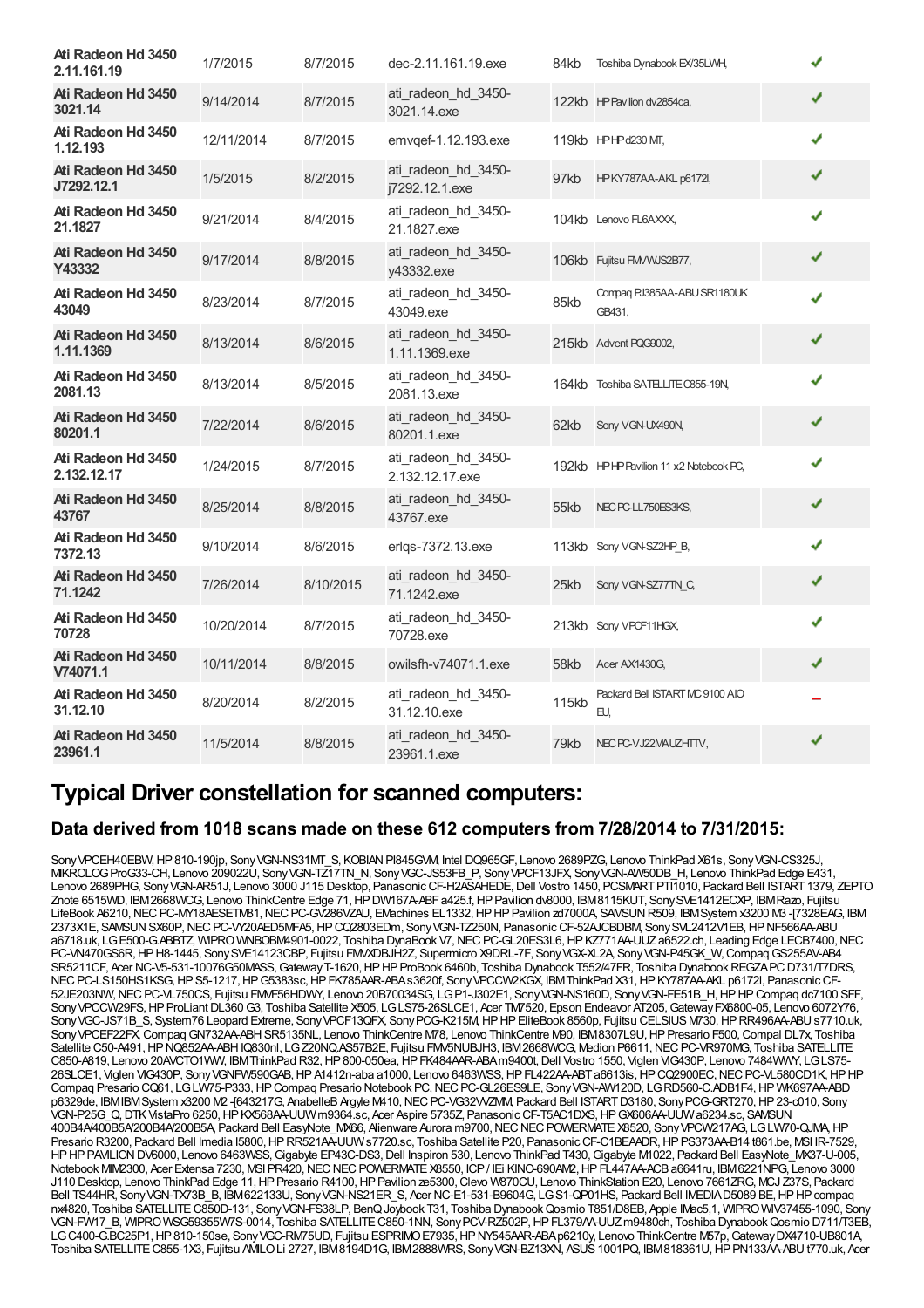| Ati Radeon Hd 3450<br>2.11.161.19 | 1/7/2015   | 8/7/2015  | dec-2.11.161.19.exe                    | 84kb  | Toshiba Dynabook EX/35LWH,             |   |  |
|-----------------------------------|------------|-----------|----------------------------------------|-------|----------------------------------------|---|--|
| Ati Radeon Hd 3450<br>3021.14     | 9/14/2014  | 8/7/2015  | ati radeon hd 3450-<br>3021.14.exe     |       | 122kb HP Pavilion dv2854ca,            | ✔ |  |
| Ati Radeon Hd 3450<br>1.12.193    | 12/11/2014 | 8/7/2015  | emvgef-1.12.193.exe                    |       | 119kb HPHPd230 MT,                     | J |  |
| Ati Radeon Hd 3450<br>J7292.12.1  | 1/5/2015   | 8/2/2015  | ati radeon hd 3450-<br>j7292.12.1.exe  | 97kb  | HPKY787AA-AKL p6172l,                  | ✔ |  |
| Ati Radeon Hd 3450<br>21.1827     | 9/21/2014  | 8/4/2015  | ati radeon hd 3450-<br>21.1827.exe     |       | 104kb Lenovo FL6AXXX.                  | J |  |
| Ati Radeon Hd 3450<br>Y43332      | 9/17/2014  | 8/8/2015  | ati radeon hd 3450-<br>v43332.exe      |       | 106kb Fujitsu FMVWJS2B77,              | ✔ |  |
| Ati Radeon Hd 3450<br>43049       | 8/23/2014  | 8/7/2015  | ati radeon hd 3450-<br>43049.exe       | 85kb  | Compag PJ385AA-ABU SR1180UK<br>GB431,  | ✔ |  |
| Ati Radeon Hd 3450<br>1.11.1369   | 8/13/2014  | 8/6/2015  | ati radeon hd 3450-<br>1.11.1369.exe   |       | 215kb Advent PQG9002,                  | ✔ |  |
| Ati Radeon Hd 3450<br>2081.13     | 8/13/2014  | 8/5/2015  | ati radeon hd 3450-<br>2081.13.exe     |       | 164kb Toshiba SATELLITE C855-19N,      | ✔ |  |
| Ati Radeon Hd 3450<br>80201.1     | 7/22/2014  | 8/6/2015  | ati radeon hd 3450-<br>80201.1.exe     | 62kb  | Sony VGN-UX490N,                       | ✔ |  |
| Ati Radeon Hd 3450<br>2.132.12.17 | 1/24/2015  | 8/7/2015  | ati radeon hd 3450-<br>2.132.12.17.exe |       | 192kb HPHP Pavilion 11 x2 Notebook PC, | ✔ |  |
| Ati Radeon Hd 3450<br>43767       | 8/25/2014  | 8/8/2015  | ati radeon hd 3450-<br>43767.exe       | 55kb  | NEC PC-LL750ES3KS,                     | ✔ |  |
| Ati Radeon Hd 3450<br>7372.13     | 9/10/2014  | 8/6/2015  | erlqs-7372.13.exe                      |       | 113kb Sony VGN-SZ2HP_B,                | ✔ |  |
| Ati Radeon Hd 3450<br>71.1242     | 7/26/2014  | 8/10/2015 | ati radeon hd 3450-<br>71.1242.exe     | 25kb  | Sony VGN-SZ77TN C,                     | ✔ |  |
| Ati Radeon Hd 3450<br>70728       | 10/20/2014 | 8/7/2015  | ati_radeon_hd_3450-<br>70728.exe       |       | 213kb Sony VPCF11HGX,                  | ✔ |  |
| Ati Radeon Hd 3450<br>V74071.1    | 10/11/2014 | 8/8/2015  | owilsfh-y74071.1.exe                   | 58kb  | Acer AX1430G,                          | ✔ |  |
| Ati Radeon Hd 3450<br>31.12.10    | 8/20/2014  | 8/2/2015  | ati radeon hd 3450-<br>31.12.10.exe    | 115kb | Packard Bell ISTART MC 9100 AIO<br>EU, |   |  |
| Ati Radeon Hd 3450<br>23961.1     | 11/5/2014  | 8/8/2015  | ati radeon hd 3450-<br>23961.1.exe     | 79kb  | NEC PC-VJ22MAUZHTTV,                   | J |  |

### **Typical Driver constellation for scanned computers:**

#### **Data derived from 1018 scans made on these 612 computers from 7/28/2014 to 7/31/2015:**

Sony VPCEH40EBW, HP 810-190jp, Sony VGN-NS31MT\_S, KOBIAN PI845GVM, Intel DQ965GF, Lenovo 2689PZG, Lenovo ThinkPad X61s, Sony VGN-CS325J, MIKROLOGProG33-CH, Lenovo 209022U, SonyVGN-TZ17TN\_N, SonyVGC-JS53FB\_P, SonyVPCF13JFX, SonyVGN-AW50DB\_H, Lenovo ThinkPad Edge E431, Lenovo 2689PHG, Sony VGN-AR51J, Lenovo 3000 J115 Desktop, Panasonic CF-H2ASAHEDE, Dell Vostro 1450, PCSMART PTI1010, Packard Bell ISTART 1379, ZEPTO Znote 6515WD, IBM2668WCG, Lenovo ThinkCentre Edge 71, HP DW167A-ABF a425.f, HP Pavilion dv8000, IBM8115KUT, Sony SVE1412ECXP, IBMRazo, Fujitsu LifeBook A6210, NEC PC-MY18AESETM81, NEC PC-GV286VZAU, EMachines EL1332, HP HP Pavilion zd7000A, SAMSUN R509, IBM System x3200 M3 -[7328EAG, IBM 2373X1E, SAMSUNSX60P,NECPC-VY20AED5MFA5,HPCQ2803EDm, SonyVGN-TZ250N, PanasonicCF-52AJCBDBM, SonySVL2412V1EB,HPNF566AA-ABU a6718.uk, LGE500-G.ABBTZ, WIPRO WNBOBM4901-0022, Toshiba DynaBook V7, NEC PC-GL20ES3L6, HP KZ771AA-UUZ a6522.ch, Leading Edge LECB7400, NEC PC-VN470GS6R,HPH8-1445, SonySVE14123CBP, Fujitsu FMVXDBJH2Z, Supermicro X9DRL-7F, SonyVGX-XL2A, SonyVGN-P45GK\_W,CompaqGS255AV-AB4 SR5211CF, Acer NC-V5-531-10076G50MASS, Gateway T-1620, HP HP ProBook 6460b, Toshiba Dynabook T552/47FR, Toshiba Dynabook REGZAPC D731/T7DRS, NEC PC-LS150HS1KSG, HPS5-1217, HPG5383sc, HPFK785AAR-ABAs3620f, Sony VPCCW2KGX, IBMThinkPad X31, HPKY787AA-AKL p6172l, Panasonic CF 52JE203NW,NECPC-VL750CS, Fujitsu FMVF56HDWY, Lenovo 20B70034SG, LGP1-J302E1, SonyVGN-NS160D, SonyVGN-FE51B\_H,HPHPCompaq dc7100 SFF, Sony VPCCW29FS, HP ProLiant DL360 G3, Toshiba Satellite X505, LG LS75-26SLCE1, Acer TM7520, Epson Endeavor AT205, Gateway FX6800-05, Lenovo 6072Y76, SonyVGC-JS71B\_S, System76 Leopard Extreme, Sony VPCF13QFX, Sony PCG-K215M, HP HP EliteBook 8560p, Fujitsu CELSIUS M730, HP RR496AA-ABU s7710.uk, Sony VPCEF22FX Compaq GN732AA-ABH SR5135NL, Lenovo ThinkCentre M78, Lenovo ThinkCentre M90, IBM8307L9U, HP Presario F500, Compal DL7x, Toshiba Satellite C50-A491, HP NQ852AA-ABH IQ830nl, LG Z20NQ.AS57B2E, Fujitsu FMV5NUBJH3, IBM2668WCG, Medion P6611, NEC PC-VR970MG, Toshiba SATELLITE C850-A819, Lenovo 20AVCTO1WW, IBMThinkPad R32, HP 800-050ea, HP FK484AAR-ABAm9400t, Dell Vostro 1550, Viglen VIG430P, Lenovo 7484WWY, LG LS75-26SLCE1, Viglen VIG430P, SonyVGNFW590GAB,HPA1412n-aba a1000, Lenovo 6463WSS,HPFL422AA-ABTa6613is,HPCQ2900EC,NECPC-VL580CD1K,HPHP Compaq Presario CQ61, LGLW75-P333, HP Compaq Presario Notebook PC, NEC PC-GL26ES9LE, Sony VGN-AW120D, LGRD560-C.ADB1F4, HP WK697AA-ABD p6329de, IBMIBMSystem x3200 M2 -[643217G, AnabelleB Argyle M410, NEC PC-VG32VVZMM, Packard Bell ISTART D3180, Sony PCG-GRT270, HP 23-c010, Sony VGN-P25G\_Q,DTKVistaPro 6250,HPKX568AA-UUWm9364.sc, Acer Aspire 5735Z, PanasonicCF-T5AC1DXS,HPGX606AA-UUWa6234.sc, SAMSUN 400B4A/400B5A/200B4A/200B5A, Packard Bell EasyNote\_MX66, Alienware Aurora m9700,NECNECPOWERMATEX8520, SonyVPCW217AG, LGLW70-QJMA,HP Presario R3200, Packard Bell Imedia I5800, HP RR521AA-UUWs7720.sc, Toshiba Satellite P20, Panasonic CF-C1BEAADR, HP PS373AA-B14 t861.be, MSI IR-7529, HP HP PAVILION DV6000, Lenovo 6463WSS, Gigabyte EP43C-DS3, Dell Inspiron 530, Lenovo ThinkPad T430, Gigabyte M1022, Packard Bell EasyNote\_MX37-U-005, Notebook MIV2300, Acer Extensa 7230, MSI PR420, NEC NEC POWERMATE X8550, ICP / IEi KINO-690AV2, HP FL447AA-ACB a6641ru, IBM6221NPG, Lenovo 3000 J110 Desktop, Lenovo ThinkPad Edge 11, HP Presario R4100, HP Pavilion ze5300, Clevo W870CU, Lenovo ThinkStation E20, Lenovo 7661ZRG, MCJ Z37S, Packard Bell TS44HR, Sony VGN-TX73B\_B, IBM622133U, Sony VGN-NS21ER\_S, Acer NC-E1-531-B9604G, LG S1-QP01HS, Packard Bell IMEDIAD5089 BE, HPHP compaq nx4820, Toshiba SATELLITEC850D-131, SonyVGN-FS38LP, BenQJoybook T31, Toshiba DynabookQosmio T851/D8EB, Apple IMac5,1, WIPROWIV37455-1090, Sony VGN-FW17\_B, WIPROWSG59355W7S-0014, Toshiba SATELLITEC850-1NN, SonyPCV-RZ502P,HPFL379AA-UUZm9480ch, Toshiba DynabookQosmio D711/T3EB, LGC400-G.BC25P1, HP 810-150se, Sony VGC-RM75UD, Fujitsu ESPRIMO E7935, HP NY545AAR-ABA p6210y, Lenovo ThinkCentre M57p, Gateway DX4710-UB801A, Toshiba SATELLITEC855-1X3, Fujitsu AMILOLi 2727, IBM8194D1G, IBM2888WRS, SonyVGN-BZ13XN, ASUS1001PQ, IBM818361U,HPPN133AA-ABUt770.uk, Acer